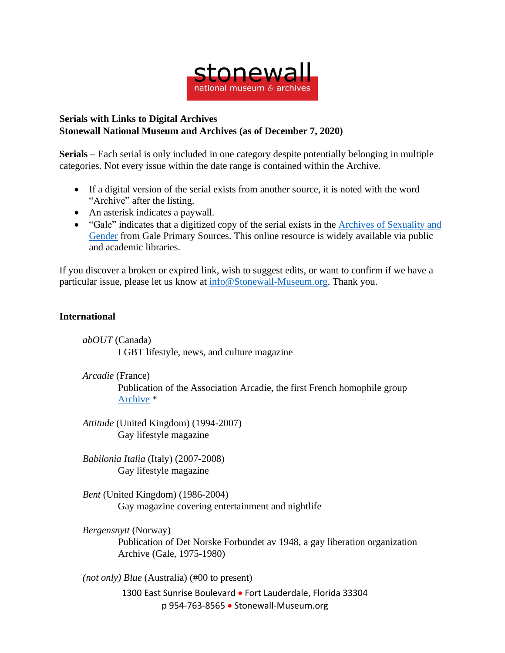

## **Serials with Links to Digital Archives Stonewall National Museum and Archives (as of December 7, 2020)**

**Serials –** Each serial is only included in one category despite potentially belonging in multiple categories. Not every issue within the date range is contained within the Archive.

- If a digital version of the serial exists from another source, it is noted with the word "Archive" after the listing.
- An asterisk indicates a paywall.
- "Gale" indicates that a digitized copy of the serial exists in the Archives of [Sexuality](https://www.gale.com/primary-sources/archives-of-sexuality-and-gender) and [Gender](https://www.gale.com/primary-sources/archives-of-sexuality-and-gender) from Gale Primary Sources. This online resource is widely available via public and academic libraries.

If you discover a broken or expired link, wish to suggest edits, or want to confirm if we have a particular issue, please let us know at [info@Stonewall-Museum.org.](mailto:info@Stonewall-Museum.org) Thank you.

## **International**

*abOUT* (Canada) LGBT lifestyle, news, and culture magazine

*Arcadie* (France)

Publication of the Association Arcadie, the first French homophile group [Archive](https://proquest.libguides.com/lgbtmagazinearchive) \*

*Attitude* (United Kingdom) (1994-2007) Gay lifestyle magazine

*Babilonia Italia* (Italy) (2007-2008) Gay lifestyle magazine

*Bent* (United Kingdom) (1986-2004) Gay magazine covering entertainment and nightlife

*Bergensnytt* (Norway) Publication of Det Norske Forbundet av 1948, a gay liberation organization Archive (Gale, 1975-1980)

*(not only) Blue* (Australia) (#00 to present)

1300 East Sunrise Boulevard • Fort Lauderdale, Florida 33304 p 954-763-8565 • Stonewall-Museum.org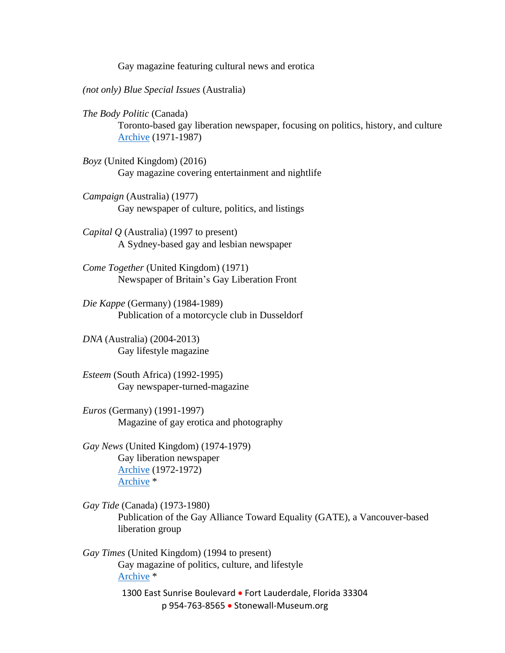Gay magazine featuring cultural news and erotica

*(not only) Blue Special Issues* (Australia)

*The Body Politic* (Canada) Toronto-based gay liberation newspaper, focusing on politics, history, and culture [Archive](https://archive.org/details/canadianmuseumforhumanrights?and%5B%5D=body+politic&sin=&sort=date) (1971-1987)

*Boyz* (United Kingdom) (2016) Gay magazine covering entertainment and nightlife

*Campaign* (Australia) (1977) Gay newspaper of culture, politics, and listings

*Capital Q* (Australia) (1997 to present) A Sydney-based gay and lesbian newspaper

*Come Together* (United Kingdom) (1971) Newspaper of Britain's Gay Liberation Front

*Die Kappe* (Germany) (1984-1989) Publication of a motorcycle club in Dusseldorf

*DNA* (Australia) (2004-2013) Gay lifestyle magazine

*Esteem* (South Africa) (1992-1995) Gay newspaper-turned-magazine

*Euros* (Germany) (1991-1997) Magazine of gay erotica and photography

*Gay News* (United Kingdom) (1974-1979) Gay liberation newspaper [Archive](http://gaynews.fighting-words.co.uk/) (1972-1972) [Archive](https://proquest.libguides.com/lgbtmagazinearchive) \*

*Gay Tide* (Canada) (1973-1980) Publication of the Gay Alliance Toward Equality (GATE), a Vancouver-based liberation group

*Gay Times* (United Kingdom) (1994 to present) Gay magazine of politics, culture, and lifestyle [Archive](https://proquest.libguides.com/lgbtmagazinearchive) \*

> 1300 East Sunrise Boulevard · Fort Lauderdale, Florida 33304 p 954-763-8565 • Stonewall-Museum.org